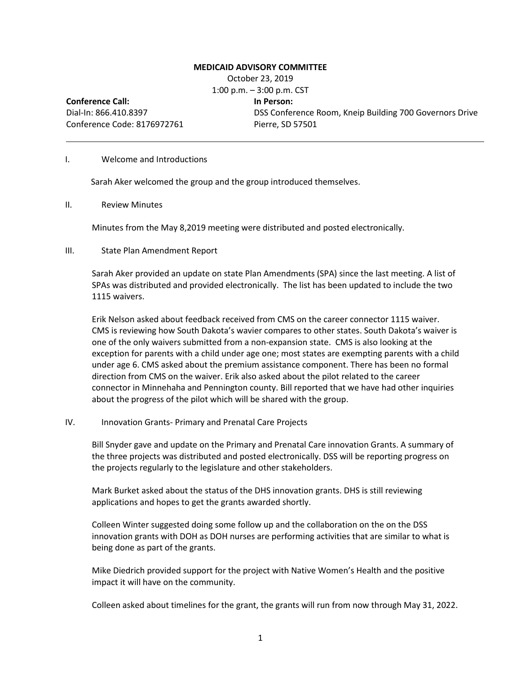## **MEDICAID ADVISORY COMMITTEE**

October 23, 2019 1:00 p.m. – 3:00 p.m. CST **Conference Call:** Dial-In: 866.410.8397 Conference Code: 8176972761 **In Person:** DSS Conference Room, Kneip Building 700 Governors Drive Pierre, SD 57501

#### I. Welcome and Introductions

Sarah Aker welcomed the group and the group introduced themselves.

II. Review Minutes

Minutes from the May 8,2019 meeting were distributed and posted electronically.

#### III. State Plan Amendment Report

Sarah Aker provided an update on state Plan Amendments (SPA) since the last meeting. A list of SPAs was distributed and provided electronically. The list has been updated to include the two 1115 waivers.

Erik Nelson asked about feedback received from CMS on the career connector 1115 waiver. CMS is reviewing how South Dakota's wavier compares to other states. South Dakota's waiver is one of the only waivers submitted from a non-expansion state. CMS is also looking at the exception for parents with a child under age one; most states are exempting parents with a child under age 6. CMS asked about the premium assistance component. There has been no formal direction from CMS on the waiver. Erik also asked about the pilot related to the career connector in Minnehaha and Pennington county. Bill reported that we have had other inquiries about the progress of the pilot which will be shared with the group.

## IV. Innovation Grants- Primary and Prenatal Care Projects

Bill Snyder gave and update on the Primary and Prenatal Care innovation Grants. A summary of the three projects was distributed and posted electronically. DSS will be reporting progress on the projects regularly to the legislature and other stakeholders.

Mark Burket asked about the status of the DHS innovation grants. DHS is still reviewing applications and hopes to get the grants awarded shortly.

Colleen Winter suggested doing some follow up and the collaboration on the on the DSS innovation grants with DOH as DOH nurses are performing activities that are similar to what is being done as part of the grants.

Mike Diedrich provided support for the project with Native Women's Health and the positive impact it will have on the community.

Colleen asked about timelines for the grant, the grants will run from now through May 31, 2022.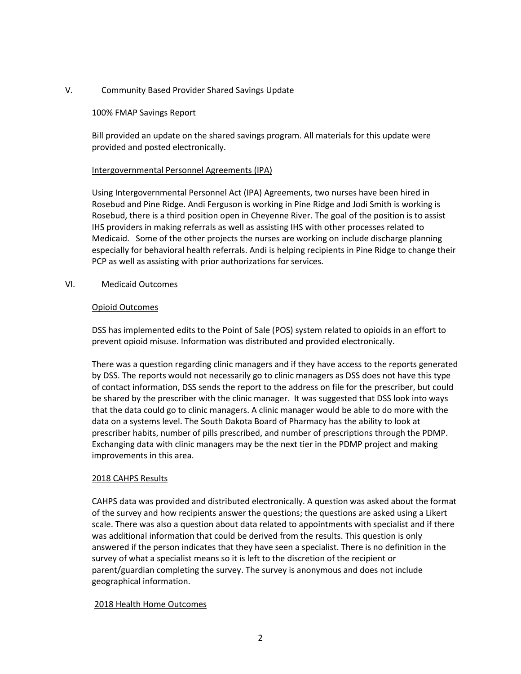# V. Community Based Provider Shared Savings Update

### 100% FMAP Savings Report

Bill provided an update on the shared savings program. All materials for this update were provided and posted electronically.

#### Intergovernmental Personnel Agreements (IPA)

Using Intergovernmental Personnel Act (IPA) Agreements, two nurses have been hired in Rosebud and Pine Ridge. Andi Ferguson is working in Pine Ridge and Jodi Smith is working is Rosebud, there is a third position open in Cheyenne River. The goal of the position is to assist IHS providers in making referrals as well as assisting IHS with other processes related to Medicaid. Some of the other projects the nurses are working on include discharge planning especially for behavioral health referrals. Andi is helping recipients in Pine Ridge to change their PCP as well as assisting with prior authorizations for services.

#### VI. Medicaid Outcomes

### Opioid Outcomes

DSS has implemented edits to the Point of Sale (POS) system related to opioids in an effort to prevent opioid misuse. Information was distributed and provided electronically.

There was a question regarding clinic managers and if they have access to the reports generated by DSS. The reports would not necessarily go to clinic managers as DSS does not have this type of contact information, DSS sends the report to the address on file for the prescriber, but could be shared by the prescriber with the clinic manager. It was suggested that DSS look into ways that the data could go to clinic managers. A clinic manager would be able to do more with the data on a systems level. The South Dakota Board of Pharmacy has the ability to look at prescriber habits, number of pills prescribed, and number of prescriptions through the PDMP. Exchanging data with clinic managers may be the next tier in the PDMP project and making improvements in this area.

### 2018 CAHPS Results

CAHPS data was provided and distributed electronically. A question was asked about the format of the survey and how recipients answer the questions; the questions are asked using a Likert scale. There was also a question about data related to appointments with specialist and if there was additional information that could be derived from the results. This question is only answered if the person indicates that they have seen a specialist. There is no definition in the survey of what a specialist means so it is left to the discretion of the recipient or parent/guardian completing the survey. The survey is anonymous and does not include geographical information.

### 2018 Health Home Outcomes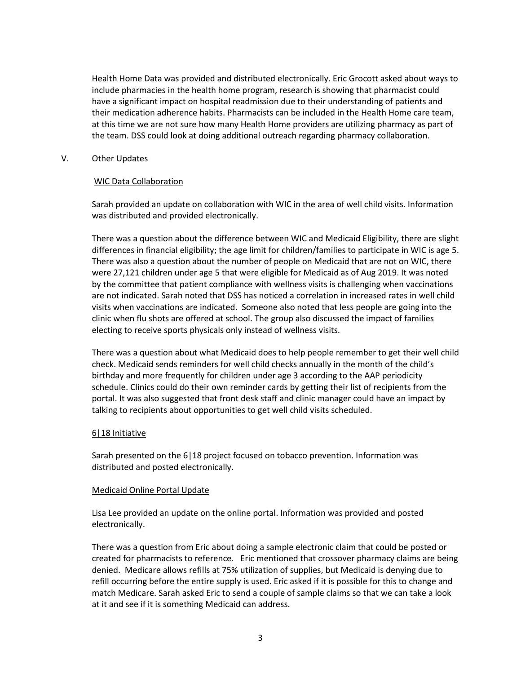Health Home Data was provided and distributed electronically. Eric Grocott asked about ways to include pharmacies in the health home program, research is showing that pharmacist could have a significant impact on hospital readmission due to their understanding of patients and their medication adherence habits. Pharmacists can be included in the Health Home care team, at this time we are not sure how many Health Home providers are utilizing pharmacy as part of the team. DSS could look at doing additional outreach regarding pharmacy collaboration.

# V. Other Updates

## WIC Data Collaboration

Sarah provided an update on collaboration with WIC in the area of well child visits. Information was distributed and provided electronically.

There was a question about the difference between WIC and Medicaid Eligibility, there are slight differences in financial eligibility; the age limit for children/families to participate in WIC is age 5. There was also a question about the number of people on Medicaid that are not on WIC, there were 27,121 children under age 5 that were eligible for Medicaid as of Aug 2019. It was noted by the committee that patient compliance with wellness visits is challenging when vaccinations are not indicated. Sarah noted that DSS has noticed a correlation in increased rates in well child visits when vaccinations are indicated. Someone also noted that less people are going into the clinic when flu shots are offered at school. The group also discussed the impact of families electing to receive sports physicals only instead of wellness visits.

There was a question about what Medicaid does to help people remember to get their well child check. Medicaid sends reminders for well child checks annually in the month of the child's birthday and more frequently for children under age 3 according to the AAP periodicity schedule. Clinics could do their own reminder cards by getting their list of recipients from the portal. It was also suggested that front desk staff and clinic manager could have an impact by talking to recipients about opportunities to get well child visits scheduled.

# 6|18 Initiative

Sarah presented on the 6|18 project focused on tobacco prevention. Information was distributed and posted electronically.

### Medicaid Online Portal Update

Lisa Lee provided an update on the online portal. Information was provided and posted electronically.

There was a question from Eric about doing a sample electronic claim that could be posted or created for pharmacists to reference. Eric mentioned that crossover pharmacy claims are being denied. Medicare allows refills at 75% utilization of supplies, but Medicaid is denying due to refill occurring before the entire supply is used. Eric asked if it is possible for this to change and match Medicare. Sarah asked Eric to send a couple of sample claims so that we can take a look at it and see if it is something Medicaid can address.